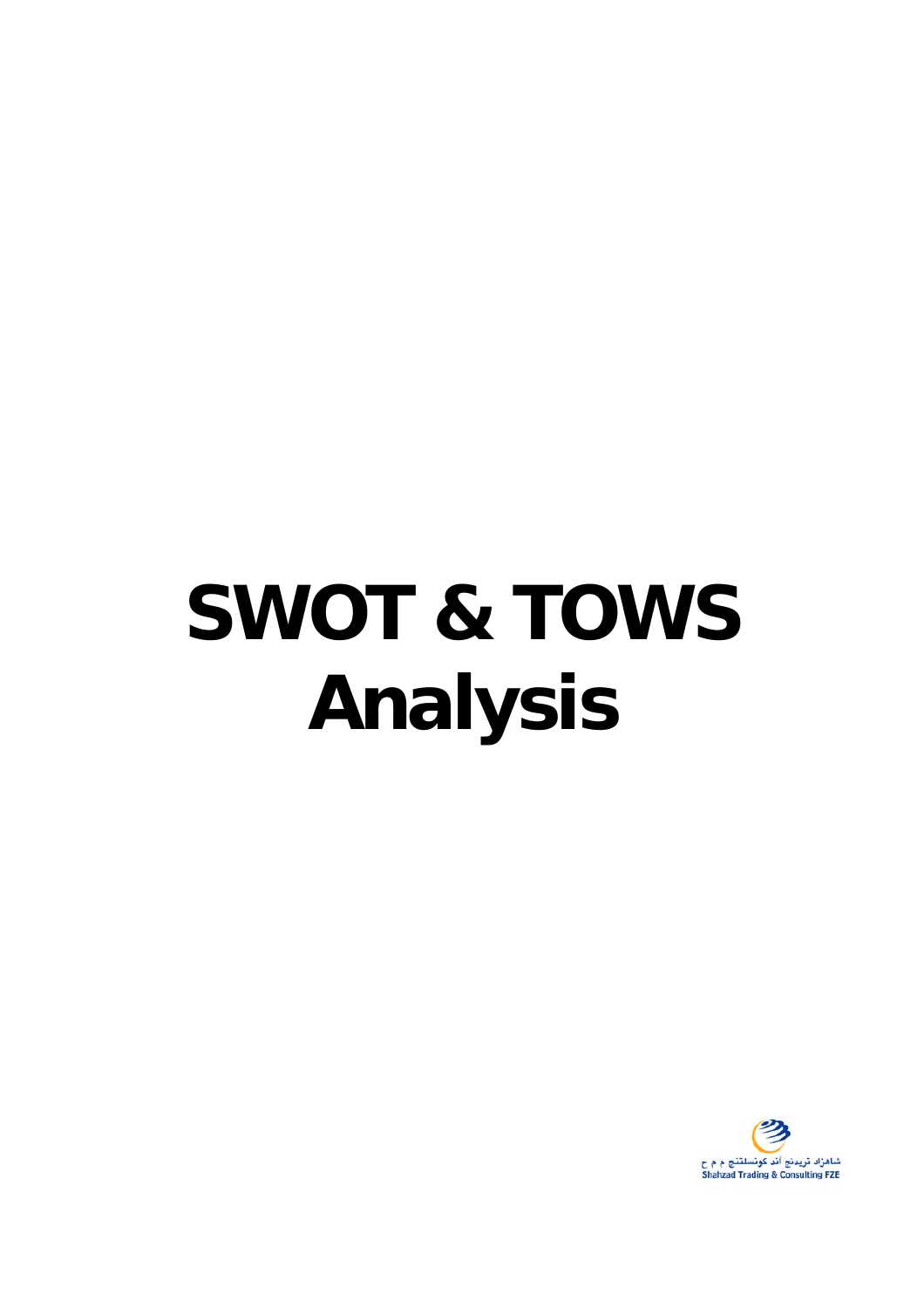# **SWOT & TOWS Analysis**

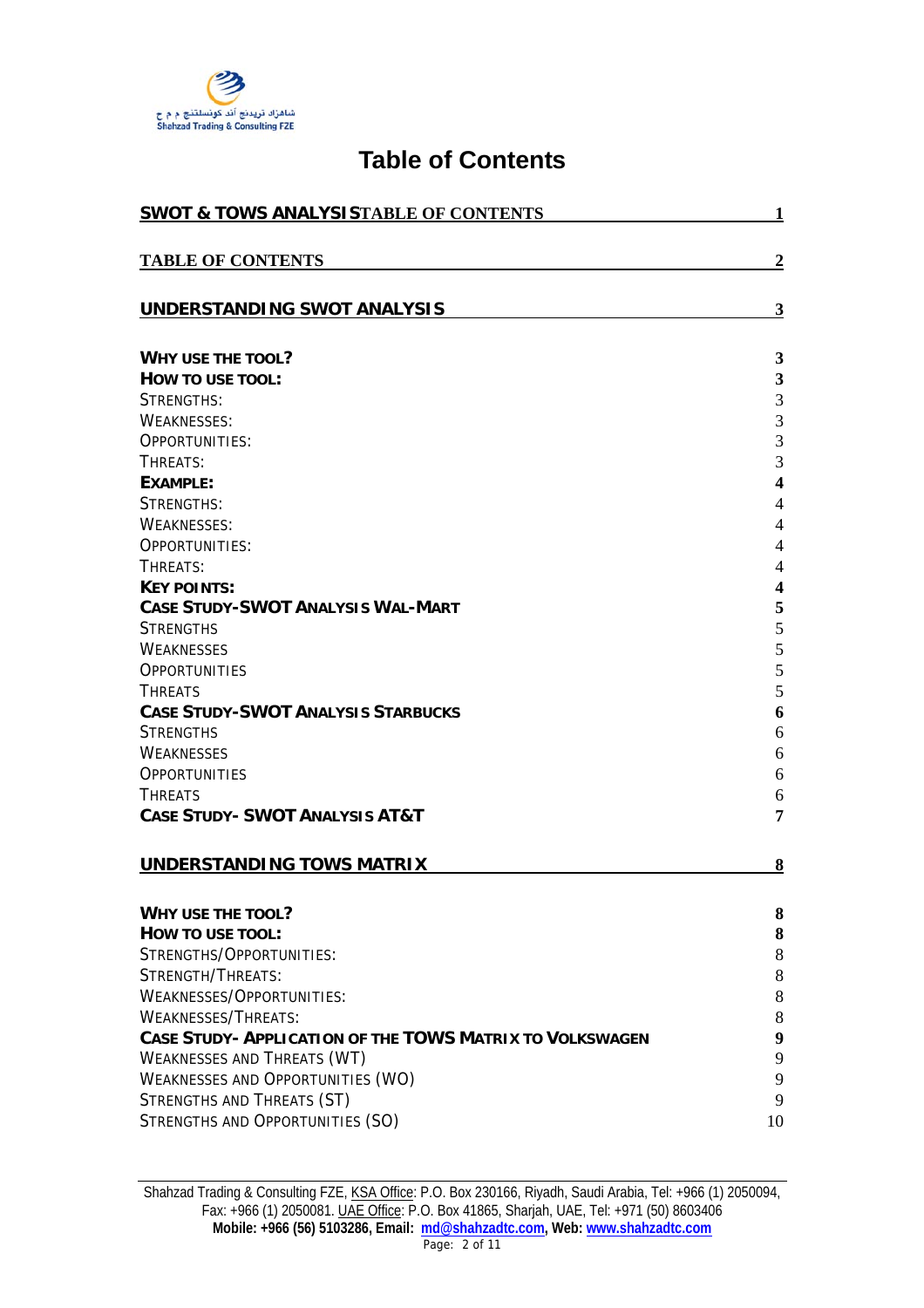

# **Table of Contents**

| <b>SWOT &amp; TOWS ANALYSISTABLE OF CONTENTS</b>         |                         |  |
|----------------------------------------------------------|-------------------------|--|
| <b>TABLE OF CONTENTS</b>                                 | $\boldsymbol{2}$        |  |
| UNDERSTANDING SWOT ANALYSIS                              | 3                       |  |
|                                                          |                         |  |
| <b>WHY USE THE TOOL?</b>                                 | 3                       |  |
| <b>HOW TO USE TOOL:</b>                                  | 3                       |  |
| STRENGTHS:                                               | $\mathfrak{Z}$          |  |
| <b>WEAKNESSES:</b>                                       | 3                       |  |
| <b>OPPORTUNITIES:</b>                                    | 3                       |  |
| THREATS:                                                 | 3                       |  |
| EXAMPLE:                                                 | $\overline{\mathbf{4}}$ |  |
| STRENGTHS:                                               | $\overline{4}$          |  |
| <b>WEAKNESSES:</b>                                       | 4                       |  |
| <b>OPPORTUNITIES:</b>                                    | 4                       |  |
| THREATS:                                                 | 4                       |  |
| <b>KEY POINTS:</b>                                       | $\overline{\mathbf{4}}$ |  |
| <b>CASE STUDY-SWOT ANALYSIS WAL-MART</b>                 | 5                       |  |
| <b>STRENGTHS</b>                                         | 5                       |  |
| <b>WEAKNESSES</b>                                        | 5                       |  |
| <b>OPPORTUNITIES</b>                                     | $\mathfrak{S}$          |  |
| <b>THREATS</b>                                           | 5                       |  |
| <b>CASE STUDY-SWOT ANALYSIS STARBUCKS</b>                | 6                       |  |
| <b>STRENGTHS</b>                                         | 6                       |  |
| <b>WEAKNESSES</b>                                        | 6                       |  |
| <b>OPPORTUNITIES</b>                                     | 6                       |  |
| <b>THREATS</b>                                           | 6                       |  |
| <b>CASE STUDY- SWOT ANALYSIS AT&amp;T</b>                | 7                       |  |
| UNDERSTANDING TOWS MATRIX                                | 8                       |  |
| <b>WHY USE THE TOOL?</b>                                 | 8                       |  |
| <b>HOW TO USE TOOL:</b>                                  | 8                       |  |
| STRENGTHS/OPPORTUNITIES:                                 | $8\,$                   |  |
| STRENGTH/THREATS:                                        | $8\,$                   |  |
| <b>WEAKNESSES/OPPORTUNITIES:</b>                         | $8\,$                   |  |
| <b>WEAKNESSES/THREATS:</b>                               | $8\,$                   |  |
| CASE STUDY- APPLICATION OF THE TOWS MATRIX TO VOLKSWAGEN | $\boldsymbol{9}$        |  |
| <b>WEAKNESSES AND THREATS (WT)</b>                       | 9                       |  |
| <b>WEAKNESSES AND OPPORTUNITIES (WO)</b>                 | 9                       |  |
| STRENGTHS AND THREATS (ST)                               | 9                       |  |
| STRENGTHS AND OPPORTUNITIES (SO)                         | 10                      |  |
|                                                          |                         |  |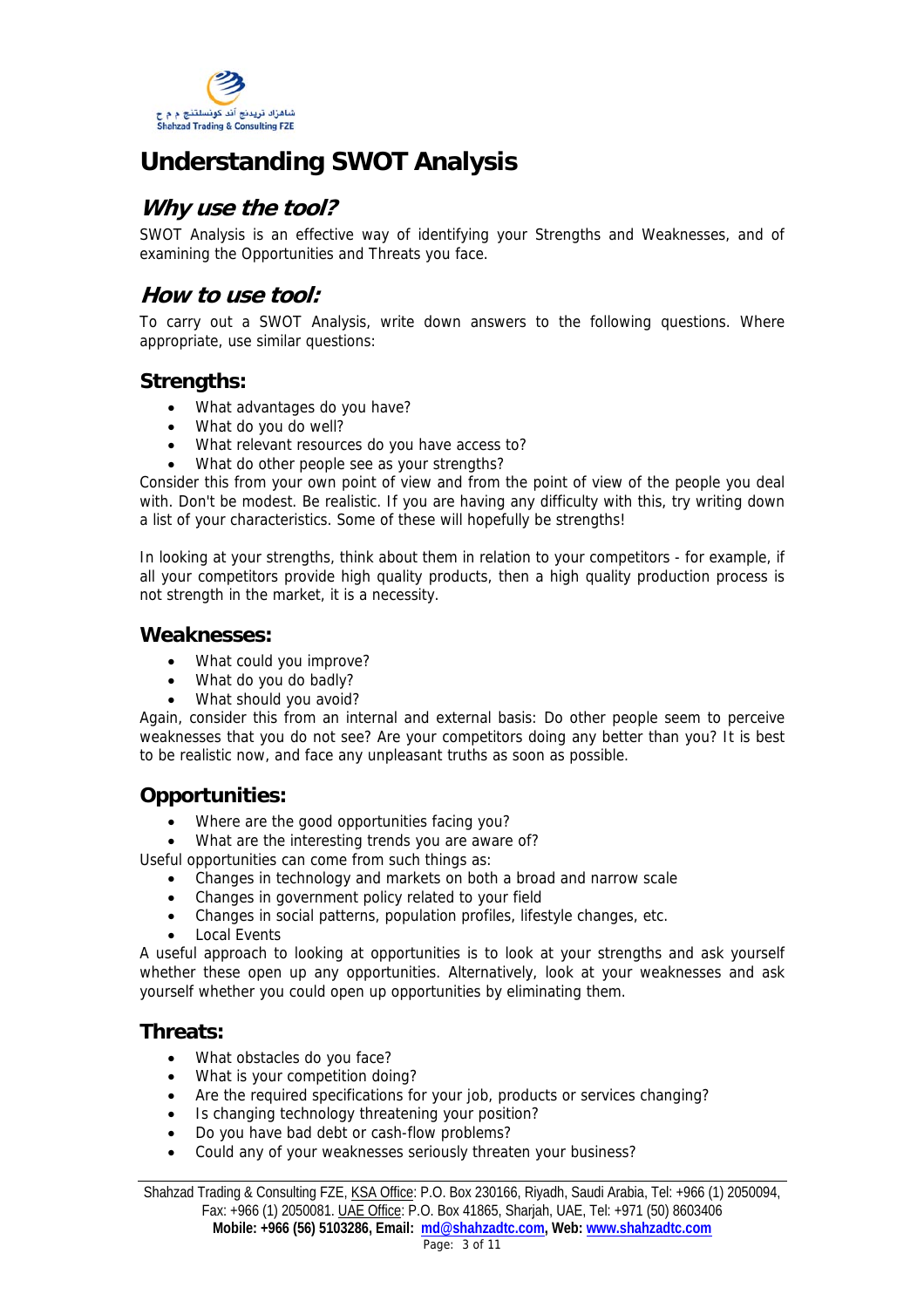

# **Understanding SWOT Analysis**

# **Why use the tool?**

SWOT Analysis is an effective way of identifying your Strengths and Weaknesses, and of examining the Opportunities and Threats you face.

# **How to use tool:**

To carry out a SWOT Analysis, write down answers to the following questions. Where appropriate, use similar questions:

#### **Strengths:**

- What advantages do you have?
- What do you do well?
- What relevant resources do you have access to?
- What do other people see as your strengths?

Consider this from your own point of view and from the point of view of the people you deal with. Don't be modest. Be realistic. If you are having any difficulty with this, try writing down a list of your characteristics. Some of these will hopefully be strengths!

In looking at your strengths, think about them in relation to your competitors - for example, if all your competitors provide high quality products, then a high quality production process is not strength in the market, it is a necessity.

#### **Weaknesses:**

- What could you improve?
- What do you do badly?
- What should you avoid?

Again, consider this from an internal and external basis: Do other people seem to perceive weaknesses that you do not see? Are your competitors doing any better than you? It is best to be realistic now, and face any unpleasant truths as soon as possible.

## **Opportunities:**

- Where are the good opportunities facing you?
- What are the interesting trends you are aware of?

Useful opportunities can come from such things as:

- Changes in technology and markets on both a broad and narrow scale
- Changes in government policy related to your field
- Changes in social patterns, population profiles, lifestyle changes, etc.
- Local Events

A useful approach to looking at opportunities is to look at your strengths and ask yourself whether these open up any opportunities. Alternatively, look at your weaknesses and ask yourself whether you could open up opportunities by eliminating them.

#### **Threats:**

- What obstacles do you face?
- What is your competition doing?
- Are the required specifications for your job, products or services changing?
- Is changing technology threatening your position?
- Do you have bad debt or cash-flow problems?
- Could any of your weaknesses seriously threaten your business?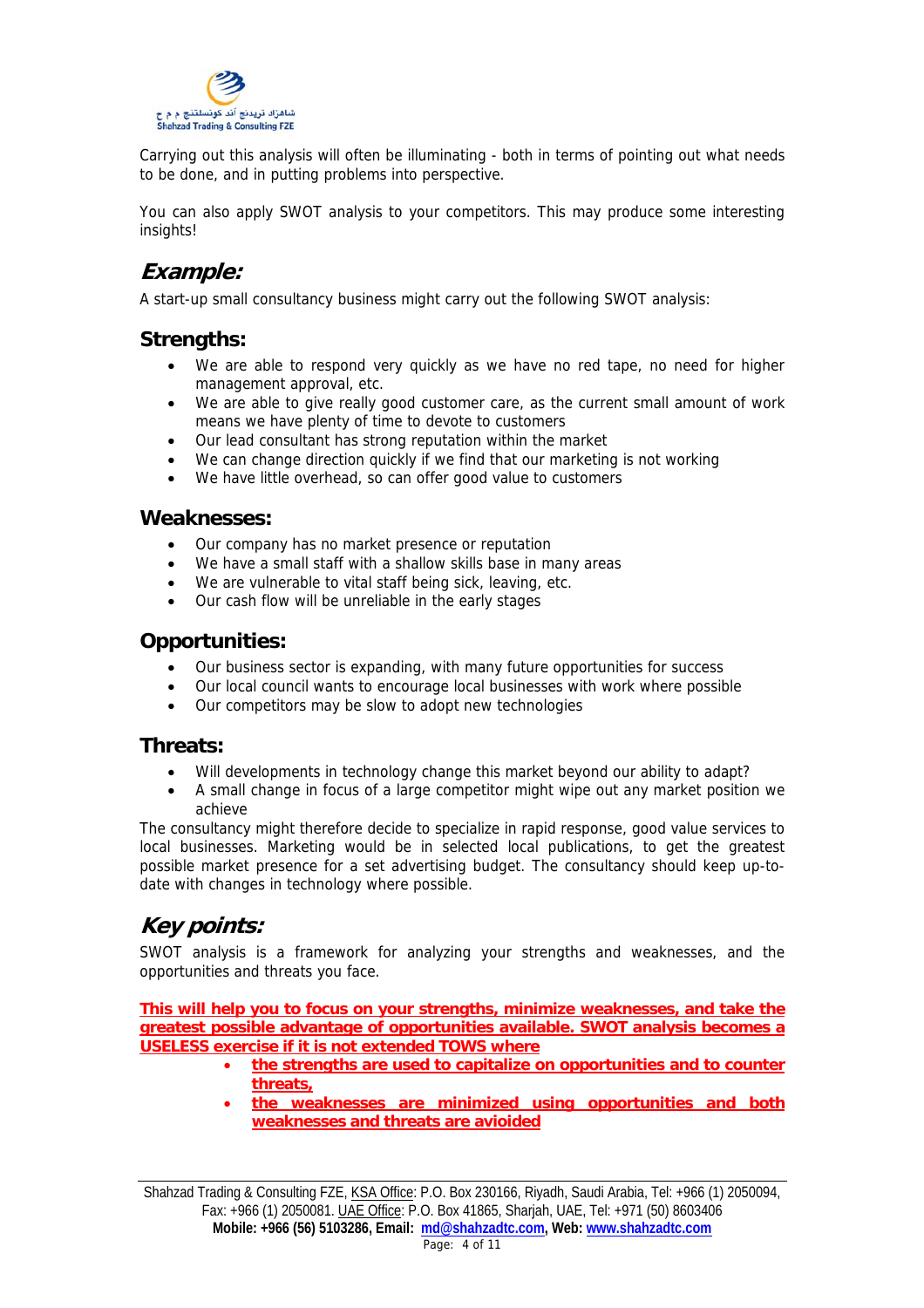

Carrying out this analysis will often be illuminating - both in terms of pointing out what needs to be done, and in putting problems into perspective.

You can also apply SWOT analysis to your competitors. This may produce some interesting insights!

# **Example:**

A start-up small consultancy business might carry out the following SWOT analysis:

## **Strengths:**

- We are able to respond very quickly as we have no red tape, no need for higher management approval, etc.
- We are able to give really good customer care, as the current small amount of work means we have plenty of time to devote to customers
- Our lead consultant has strong reputation within the market
- We can change direction quickly if we find that our marketing is not working
- We have little overhead, so can offer good value to customers

#### **Weaknesses:**

- Our company has no market presence or reputation
- We have a small staff with a shallow skills base in many areas
- We are vulnerable to vital staff being sick, leaving, etc.
- Our cash flow will be unreliable in the early stages

#### **Opportunities:**

- Our business sector is expanding, with many future opportunities for success
- Our local council wants to encourage local businesses with work where possible
- Our competitors may be slow to adopt new technologies

## **Threats:**

- Will developments in technology change this market beyond our ability to adapt?
- A small change in focus of a large competitor might wipe out any market position we achieve

The consultancy might therefore decide to specialize in rapid response, good value services to local businesses. Marketing would be in selected local publications, to get the greatest possible market presence for a set advertising budget. The consultancy should keep up-todate with changes in technology where possible.

# **Key points:**

SWOT analysis is a framework for analyzing your strengths and weaknesses, and the opportunities and threats you face.

**This will help you to focus on your strengths, minimize weaknesses, and take the greatest possible advantage of opportunities available. SWOT analysis becomes a USELESS exercise if it is not extended TOWS where** 

- **the strengths are used to capitalize on opportunities and to counter threats,**
- **the weaknesses are minimized using opportunities and both weaknesses and threats are avioided**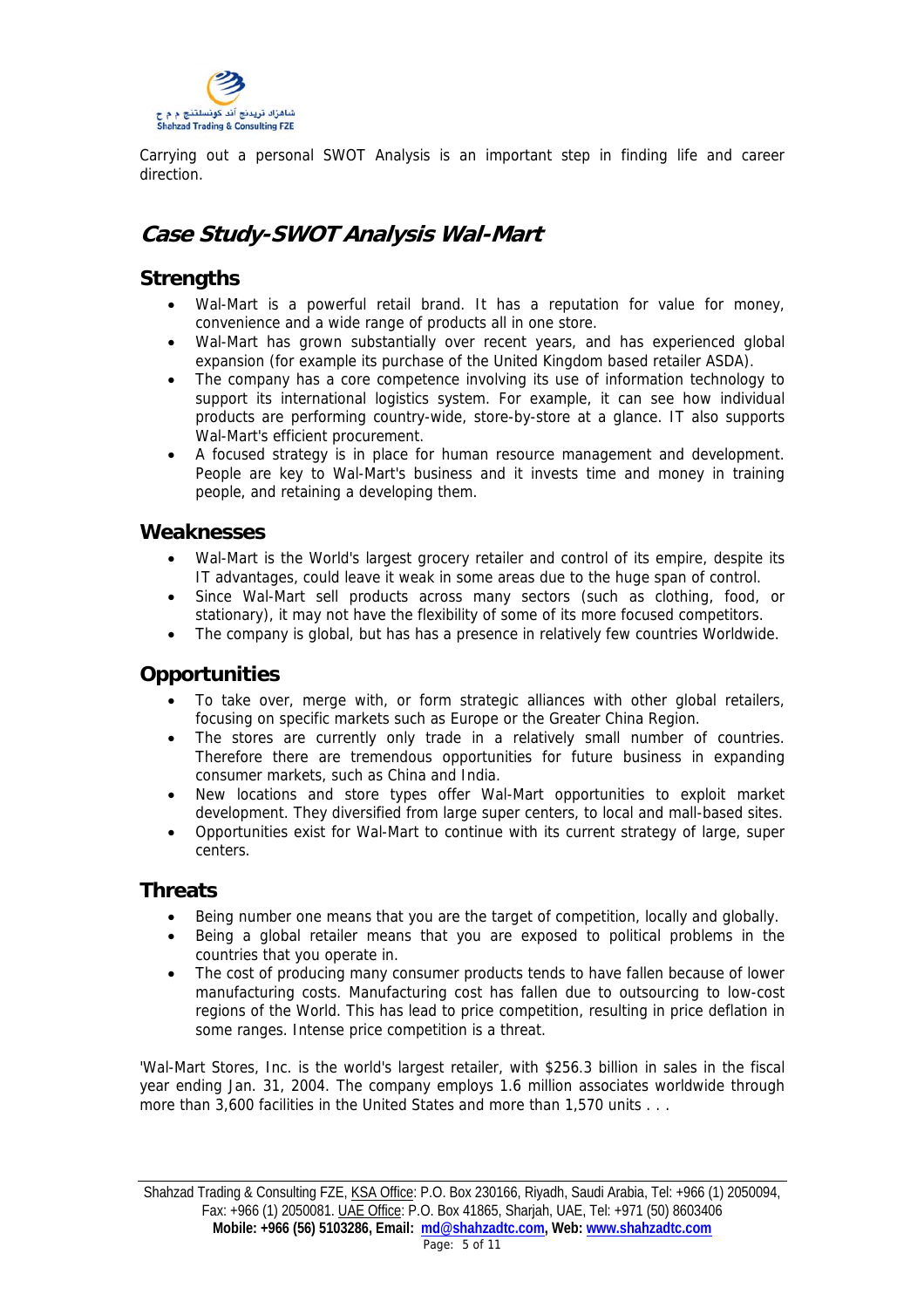

Carrying out a personal SWOT Analysis is an important step in finding life and career direction.

# **Case Study-SWOT Analysis Wal-Mart**

## **Strengths**

- Wal-Mart is a powerful retail brand. It has a reputation for value for money, convenience and a wide range of products all in one store.
- Wal-Mart has grown substantially over recent years, and has experienced global expansion (for example its purchase of the United Kingdom based retailer ASDA).
- The company has a core competence involving its use of information technology to support its international logistics system. For example, it can see how individual products are performing country-wide, store-by-store at a glance. IT also supports Wal-Mart's efficient procurement.
- A focused strategy is in place for human resource management and development. People are key to Wal-Mart's business and it invests time and money in training people, and retaining a developing them.

#### **Weaknesses**

- Wal-Mart is the World's largest grocery retailer and control of its empire, despite its IT advantages, could leave it weak in some areas due to the huge span of control.
- Since Wal-Mart sell products across many sectors (such as clothing, food, or stationary), it may not have the flexibility of some of its more focused competitors.
- The company is global, but has has a presence in relatively few countries Worldwide.

## **Opportunities**

- To take over, merge with, or form strategic alliances with other global retailers, focusing on specific markets such as Europe or the Greater China Region.
- The stores are currently only trade in a relatively small number of countries. Therefore there are tremendous opportunities for future business in expanding consumer markets, such as China and India.
- New locations and store types offer Wal-Mart opportunities to exploit market development. They diversified from large super centers, to local and mall-based sites.
- Opportunities exist for Wal-Mart to continue with its current strategy of large, super centers.

#### **Threats**

- Being number one means that you are the target of competition, locally and globally.
- Being a global retailer means that you are exposed to political problems in the countries that you operate in.
- The cost of producing many consumer products tends to have fallen because of lower manufacturing costs. Manufacturing cost has fallen due to outsourcing to low-cost regions of the World. This has lead to price competition, resulting in price deflation in some ranges. Intense price competition is a threat.

'Wal-Mart Stores, Inc. is the world's largest retailer, with \$256.3 billion in sales in the fiscal year ending Jan. 31, 2004. The company employs 1.6 million associates worldwide through more than 3,600 facilities in the United States and more than 1,570 units . . .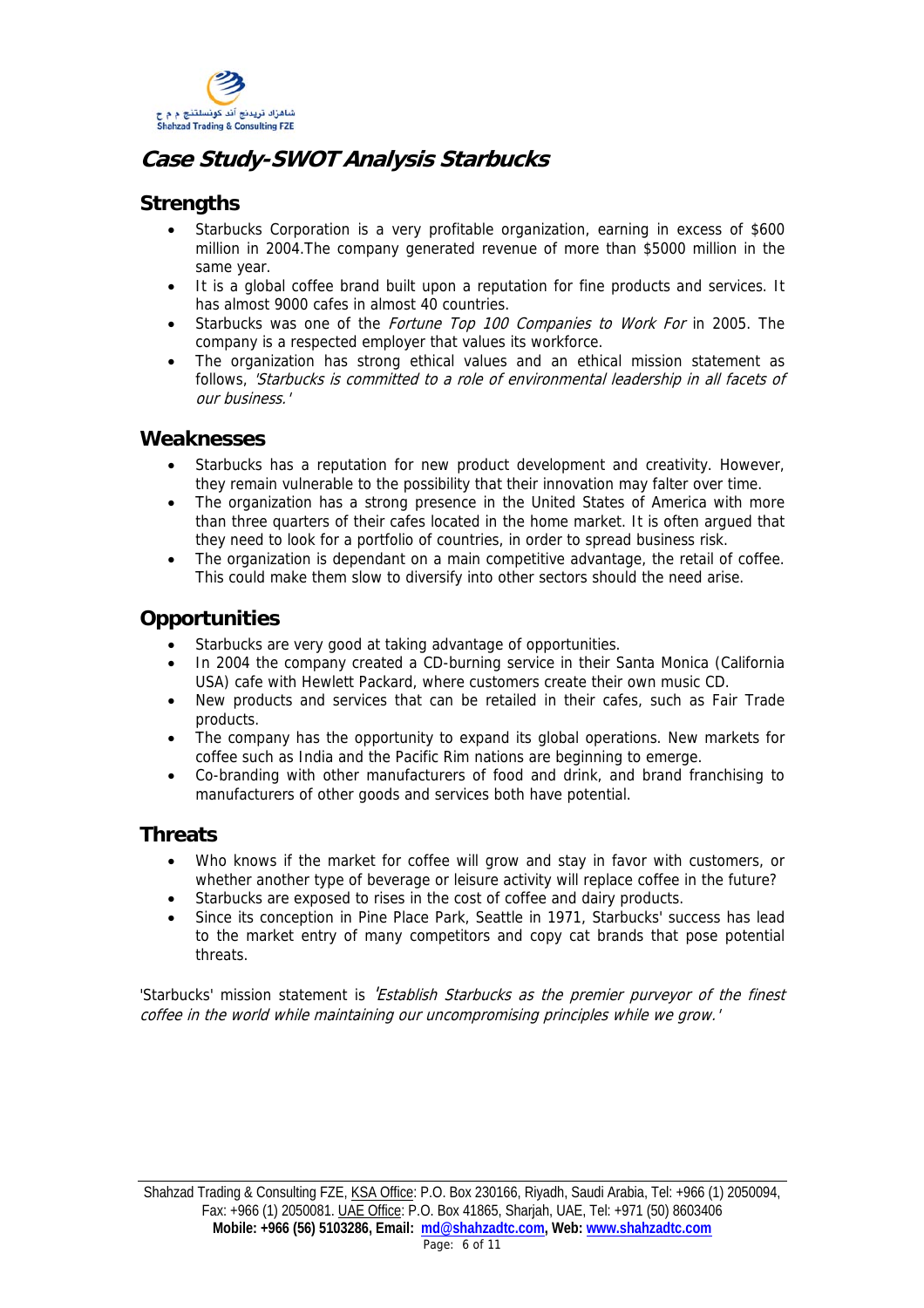

# **Case Study-SWOT Analysis Starbucks**

## **Strengths**

- Starbucks Corporation is a very profitable organization, earning in excess of \$600 million in 2004.The company generated revenue of more than \$5000 million in the same year.
- It is a global coffee brand built upon a reputation for fine products and services. It has almost 9000 cafes in almost 40 countries.
- Starbucks was one of the *Fortune Top 100 Companies to Work For* in 2005. The company is a respected employer that values its workforce.
- The organization has strong ethical values and an ethical mission statement as follows, 'Starbucks is committed to a role of environmental leadership in all facets of our business.'

#### **Weaknesses**

- Starbucks has a reputation for new product development and creativity. However, they remain vulnerable to the possibility that their innovation may falter over time.
- The organization has a strong presence in the United States of America with more than three quarters of their cafes located in the home market. It is often argued that they need to look for a portfolio of countries, in order to spread business risk.
- The organization is dependant on a main competitive advantage, the retail of coffee. This could make them slow to diversify into other sectors should the need arise.

## **Opportunities**

- Starbucks are very good at taking advantage of opportunities.
- In 2004 the company created a CD-burning service in their Santa Monica (California USA) cafe with Hewlett Packard, where customers create their own music CD.
- New products and services that can be retailed in their cafes, such as Fair Trade products.
- The company has the opportunity to expand its global operations. New markets for coffee such as India and the Pacific Rim nations are beginning to emerge.
- Co-branding with other manufacturers of food and drink, and brand franchising to manufacturers of other goods and services both have potential.

## **Threats**

- Who knows if the market for coffee will grow and stay in favor with customers, or whether another type of beverage or leisure activity will replace coffee in the future?
- Starbucks are exposed to rises in the cost of coffee and dairy products.
- Since its conception in Pine Place Park, Seattle in 1971, Starbucks' success has lead to the market entry of many competitors and copy cat brands that pose potential threats.

'Starbucks' mission statement is *'Establish Starbucks as the premier purveyor of the finest* coffee in the world while maintaining our uncompromising principles while we grow.'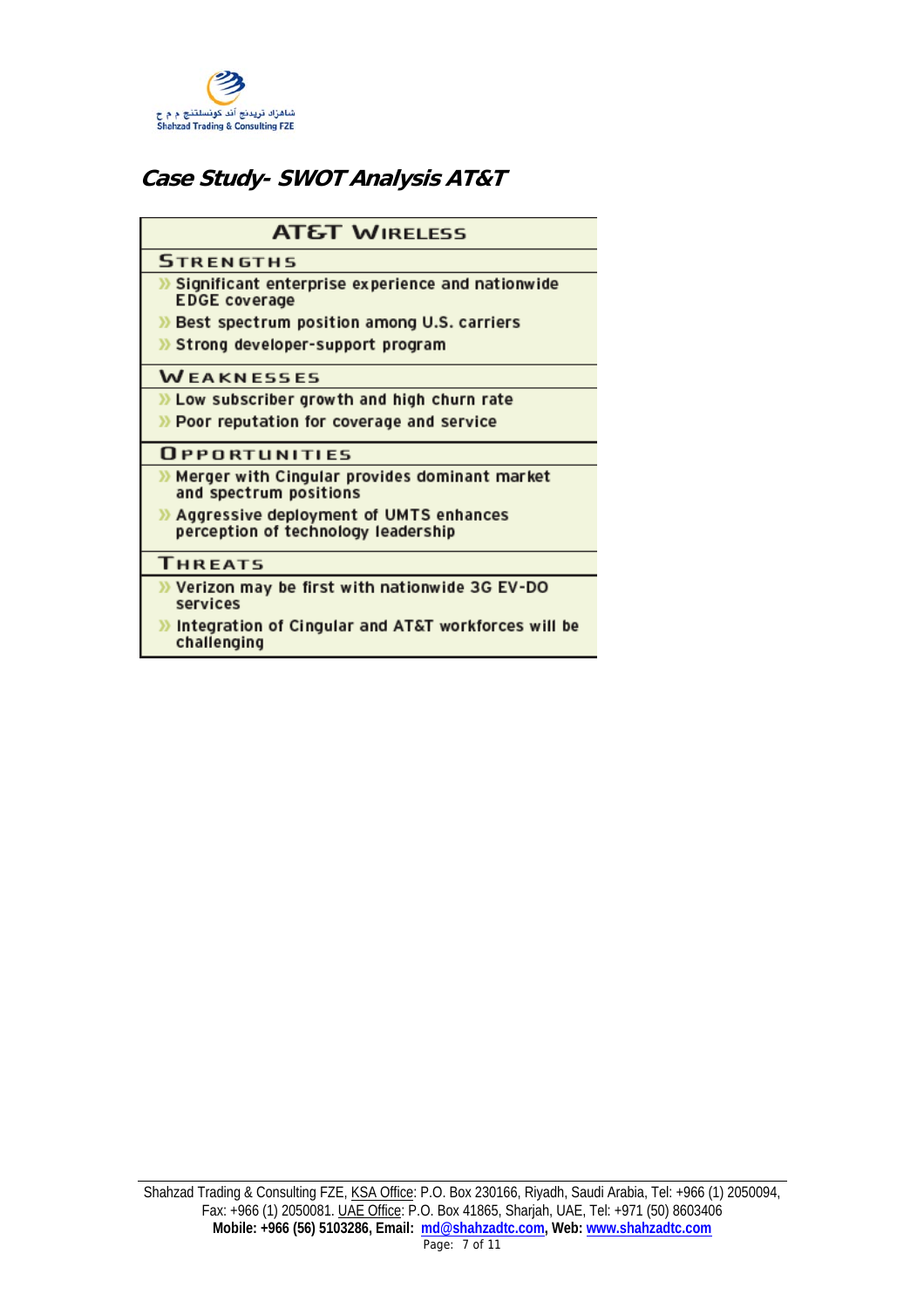

# **Case Study- SWOT Analysis AT&T**

| <b>ATET WIRELESS</b>                                                             |  |  |
|----------------------------------------------------------------------------------|--|--|
| <b>STRENGTHS</b>                                                                 |  |  |
| Significant enterprise experience and nationwide<br>»<br><b>EDGE coverage</b>    |  |  |
| >> Best spectrum position among U.S. carriers                                    |  |  |
| >> Strong developer-support program                                              |  |  |
| <b>WEAKNESSES</b>                                                                |  |  |
| >> Low subscriber growth and high churn rate                                     |  |  |
| >> Poor reputation for coverage and service                                      |  |  |
| <b>OPPORTUNITIES</b>                                                             |  |  |
| Merger with Cingular provides dominant market<br>and spectrum positions          |  |  |
| >> Aggressive deployment of UMTS enhances<br>perception of technology leadership |  |  |
| <b>THREATS</b>                                                                   |  |  |
| >> Verizon may be first with nationwide 3G EV-DO<br>services                     |  |  |
| Integration of Cingular and AT&T workforces will be<br>challenging               |  |  |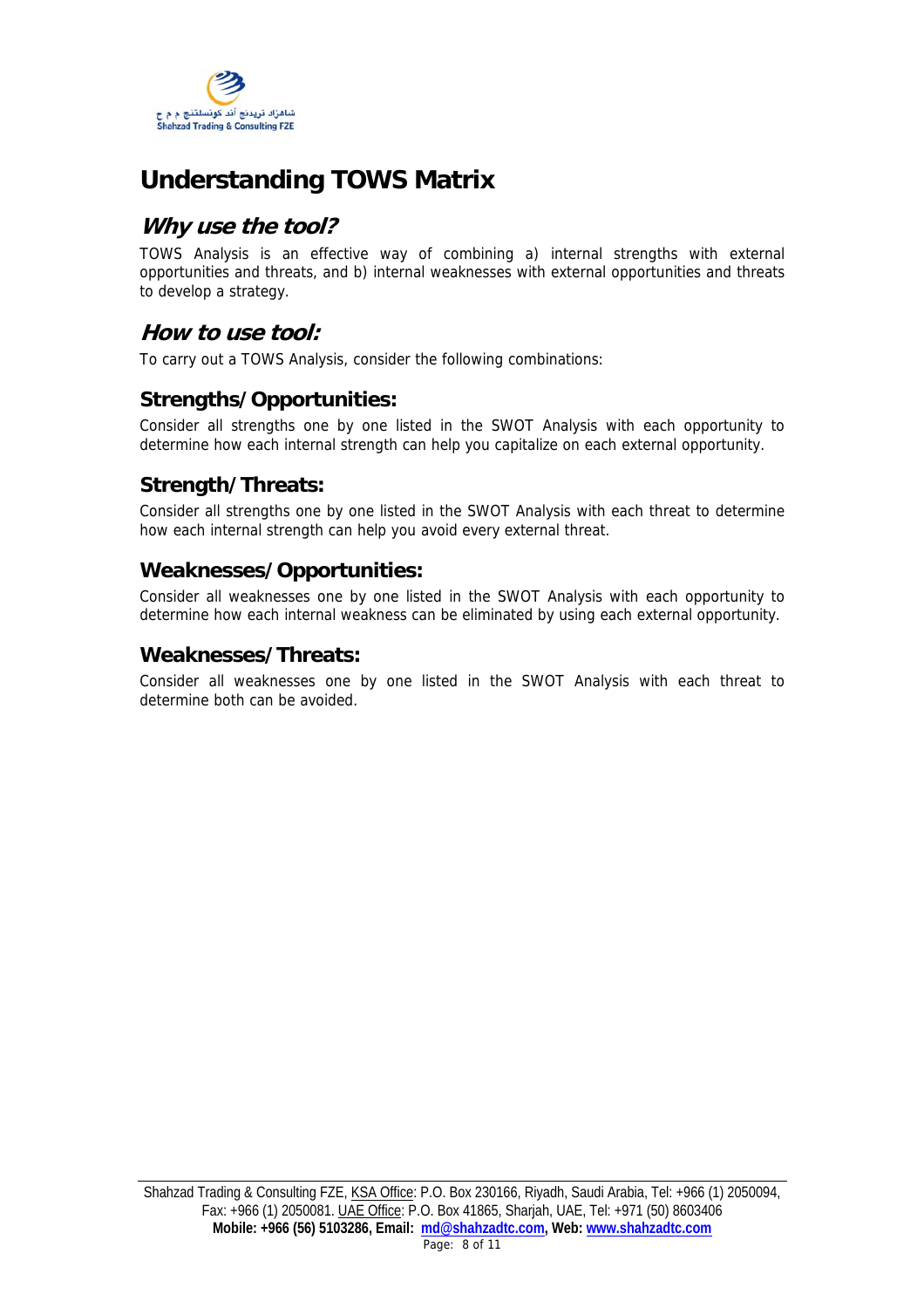

# **Understanding TOWS Matrix**

# **Why use the tool?**

TOWS Analysis is an effective way of combining a) internal strengths with external opportunities and threats, and b) internal weaknesses with external opportunities and threats to develop a strategy.

# **How to use tool:**

To carry out a TOWS Analysis, consider the following combinations:

# **Strengths/Opportunities:**

Consider all strengths one by one listed in the SWOT Analysis with each opportunity to determine how each internal strength can help you capitalize on each external opportunity.

## **Strength/Threats:**

Consider all strengths one by one listed in the SWOT Analysis with each threat to determine how each internal strength can help you avoid every external threat.

## **Weaknesses/Opportunities:**

Consider all weaknesses one by one listed in the SWOT Analysis with each opportunity to determine how each internal weakness can be eliminated by using each external opportunity.

#### **Weaknesses/Threats:**

Consider all weaknesses one by one listed in the SWOT Analysis with each threat to determine both can be avoided.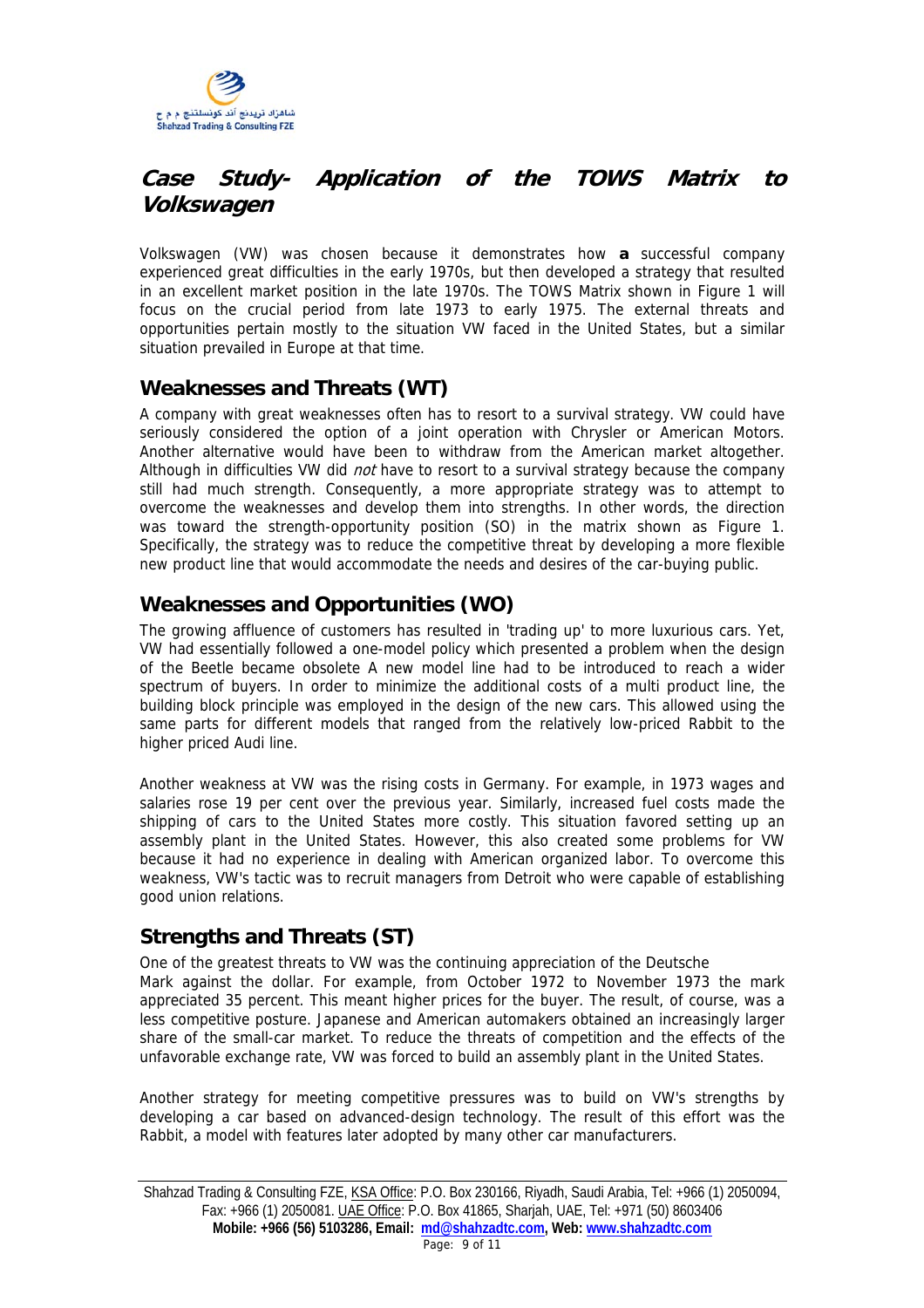

# **Case Study- Application of the TOWS Matrix to Volkswagen**

Volkswagen (VW) was chosen because it demonstrates how **a** successful company experienced great difficulties in the early 1970s, but then developed a strategy that resulted in an excellent market position in the late 1970s. The TOWS Matrix shown in Figure 1 will focus on the crucial period from late 1973 to early 1975. The external threats and opportunities pertain mostly to the situation VW faced in the United States, but a similar situation prevailed in Europe at that time.

## **Weaknesses and Threats (WT)**

A company with great weaknesses often has to resort to a survival strategy. VW could have seriously considered the option of a joint operation with Chrysler or American Motors. Another alternative would have been to withdraw from the American market altogether. Although in difficulties VW did *not* have to resort to a survival strategy because the company still had much strength. Consequently, a more appropriate strategy was to attempt to overcome the weaknesses and develop them into strengths. In other words, the direction was toward the strength-opportunity position (SO) in the matrix shown as Figure 1. Specifically, the strategy was to reduce the competitive threat by developing a more flexible new product line that would accommodate the needs and desires of the car-buying public.

## **Weaknesses and Opportunities (WO)**

The growing affluence of customers has resulted in 'trading up' to more luxurious cars. Yet, VW had essentially followed a one-model policy which presented a problem when the design of the Beetle became obsolete A new model line had to be introduced to reach a wider spectrum of buyers. In order to minimize the additional costs of a multi product line, the building block principle was employed in the design of the new cars. This allowed using the same parts for different models that ranged from the relatively low-priced Rabbit to the higher priced Audi line.

Another weakness at VW was the rising costs in Germany. For example, in 1973 wages and salaries rose 19 per cent over the previous year. Similarly, increased fuel costs made the shipping of cars to the United States more costly. This situation favored setting up an assembly plant in the United States. However, this also created some problems for VW because it had no experience in dealing with American organized labor. To overcome this weakness, VW's tactic was to recruit managers from Detroit who were capable of establishing good union relations.

# **Strengths and Threats (ST)**

One of the greatest threats to VW was the continuing appreciation of the Deutsche Mark against the dollar. For example, from October 1972 to November 1973 the mark appreciated 35 percent. This meant higher prices for the buyer. The result, of course, was a less competitive posture. Japanese and American automakers obtained an increasingly larger share of the small-car market. To reduce the threats of competition and the effects of the unfavorable exchange rate, VW was forced to build an assembly plant in the United States.

Another strategy for meeting competitive pressures was to build on VW's strengths by developing a car based on advanced-design technology. The result of this effort was the Rabbit, a model with features later adopted by many other car manufacturers.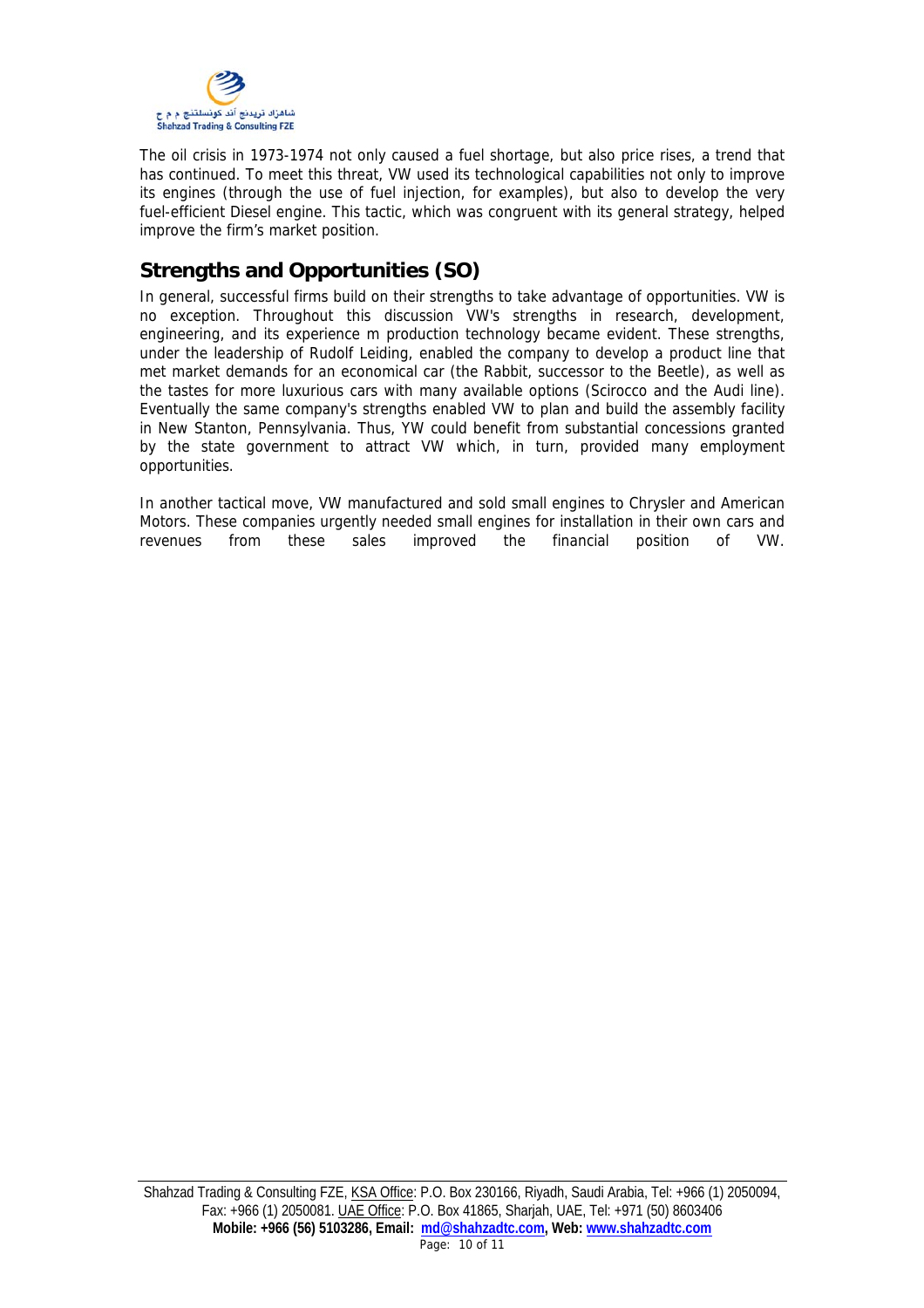

The oil crisis in 1973-1974 not only caused a fuel shortage, but also price rises, a trend that has continued. To meet this threat, VW used its technological capabilities not only to improve its engines (through the use of fuel injection, for examples), but also to develop the very fuel-efficient Diesel engine. This tactic, which was congruent with its general strategy, helped improve the firm's market position.

# **Strengths and Opportunities (SO)**

In general, successful firms build on their strengths to take advantage of opportunities. VW is no exception. Throughout this discussion VW's strengths in research, development, engineering, and its experience m production technology became evident. These strengths, under the leadership of Rudolf Leiding, enabled the company to develop a product line that met market demands for an economical car (the Rabbit, successor to the Beetle), as well as the tastes for more luxurious cars with many available options (Scirocco and the Audi line). Eventually the same company's strengths enabled VW to plan and build the assembly facility in New Stanton, Pennsylvania. Thus, YW could benefit from substantial concessions granted by the state government to attract VW which, in turn, provided many employment opportunities.

In another tactical move, VW manufactured and sold small engines to Chrysler and American Motors. These companies urgently needed small engines for installation in their own cars and revenues from these sales improved the financial position of VW.